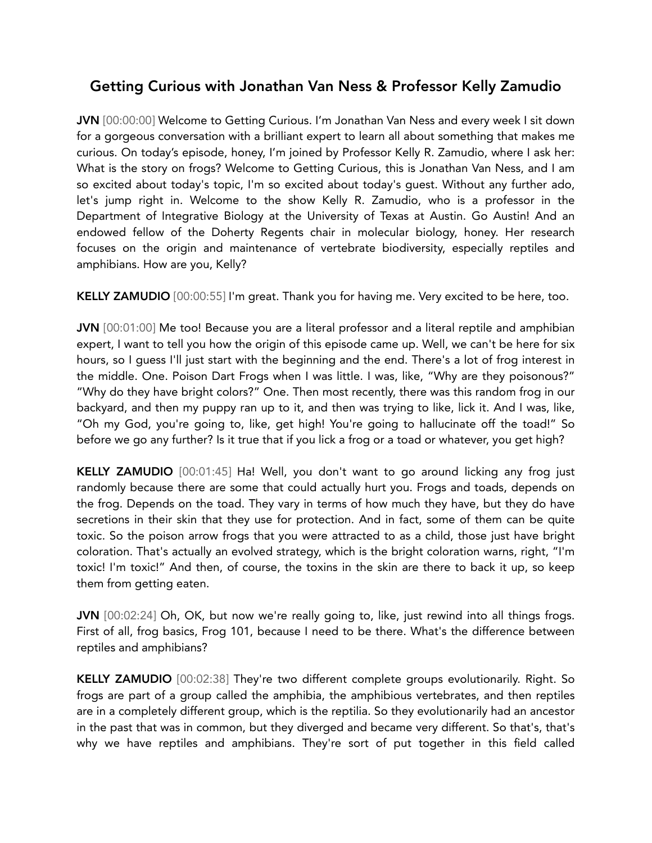## Getting Curious with Jonathan Van Ness & Professor Kelly Zamudio

JVN [00:00:00] Welcome to Getting Curious. I'm Jonathan Van Ness and every week I sit down for a gorgeous conversation with a brilliant expert to learn all about something that makes me curious. On today's episode, honey, I'm joined by Professor Kelly R. Zamudio, where I ask her: What is the story on frogs? Welcome to Getting Curious, this is Jonathan Van Ness, and I am so excited about today's topic, I'm so excited about today's guest. Without any further ado, let's jump right in. Welcome to the show Kelly R. Zamudio, who is a professor in the Department of Integrative Biology at the University of Texas at Austin. Go Austin! And an endowed fellow of the Doherty Regents chair in molecular biology, honey. Her research focuses on the origin and maintenance of vertebrate biodiversity, especially reptiles and amphibians. How are you, Kelly?

KELLY ZAMUDIO [00:00:55] I'm great. Thank you for having me. Very excited to be here, too.

JVN [00:01:00] Me too! Because you are a literal professor and a literal reptile and amphibian expert, I want to tell you how the origin of this episode came up. Well, we can't be here for six hours, so I guess I'll just start with the beginning and the end. There's a lot of frog interest in the middle. One. Poison Dart Frogs when I was little. I was, like, "Why are they poisonous?" "Why do they have bright colors?" One. Then most recently, there was this random frog in our backyard, and then my puppy ran up to it, and then was trying to like, lick it. And I was, like, "Oh my God, you're going to, like, get high! You're going to hallucinate off the toad!" So before we go any further? Is it true that if you lick a frog or a toad or whatever, you get high?

KELLY ZAMUDIO [00:01:45] Ha! Well, you don't want to go around licking any frog just randomly because there are some that could actually hurt you. Frogs and toads, depends on the frog. Depends on the toad. They vary in terms of how much they have, but they do have secretions in their skin that they use for protection. And in fact, some of them can be quite toxic. So the poison arrow frogs that you were attracted to as a child, those just have bright coloration. That's actually an evolved strategy, which is the bright coloration warns, right, "I'm toxic! I'm toxic!" And then, of course, the toxins in the skin are there to back it up, so keep them from getting eaten.

JVN [00:02:24] Oh, OK, but now we're really going to, like, just rewind into all things frogs. First of all, frog basics, Frog 101, because I need to be there. What's the difference between reptiles and amphibians?

KELLY ZAMUDIO [00:02:38] They're two different complete groups evolutionarily. Right. So frogs are part of a group called the amphibia, the amphibious vertebrates, and then reptiles are in a completely different group, which is the reptilia. So they evolutionarily had an ancestor in the past that was in common, but they diverged and became very different. So that's, that's why we have reptiles and amphibians. They're sort of put together in this field called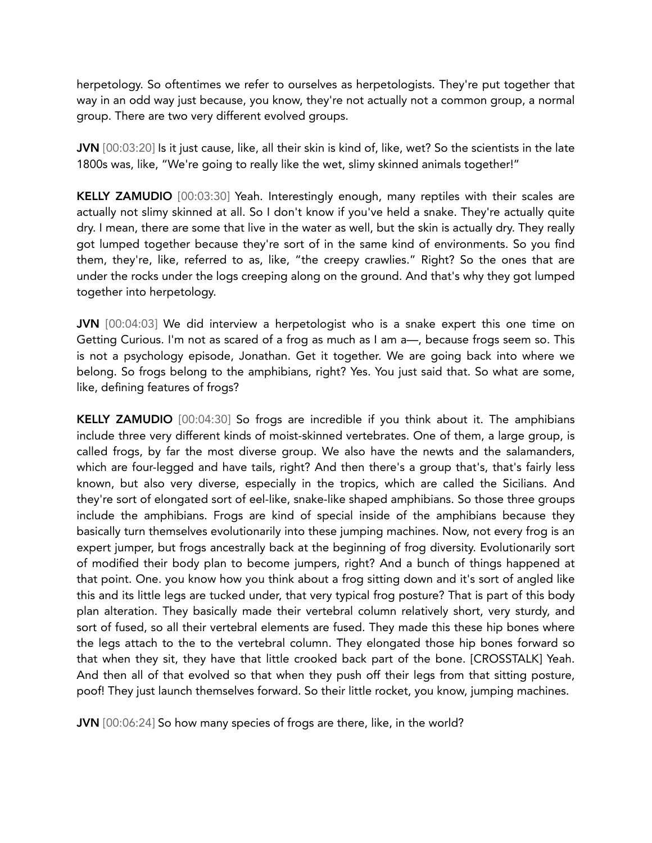herpetology. So oftentimes we refer to ourselves as herpetologists. They're put together that way in an odd way just because, you know, they're not actually not a common group, a normal group. There are two very different evolved groups.

JVN [00:03:20] Is it just cause, like, all their skin is kind of, like, wet? So the scientists in the late 1800s was, like, "We're going to really like the wet, slimy skinned animals together!"

KELLY ZAMUDIO [00:03:30] Yeah. Interestingly enough, many reptiles with their scales are actually not slimy skinned at all. So I don't know if you've held a snake. They're actually quite dry. I mean, there are some that live in the water as well, but the skin is actually dry. They really got lumped together because they're sort of in the same kind of environments. So you find them, they're, like, referred to as, like, "the creepy crawlies." Right? So the ones that are under the rocks under the logs creeping along on the ground. And that's why they got lumped together into herpetology.

JVN [00:04:03] We did interview a herpetologist who is a snake expert this one time on Getting Curious. I'm not as scared of a frog as much as I am a—, because frogs seem so. This is not a psychology episode, Jonathan. Get it together. We are going back into where we belong. So frogs belong to the amphibians, right? Yes. You just said that. So what are some, like, defining features of frogs?

KELLY ZAMUDIO [00:04:30] So frogs are incredible if you think about it. The amphibians include three very different kinds of moist-skinned vertebrates. One of them, a large group, is called frogs, by far the most diverse group. We also have the newts and the salamanders, which are four-legged and have tails, right? And then there's a group that's, that's fairly less known, but also very diverse, especially in the tropics, which are called the Sicilians. And they're sort of elongated sort of eel-like, snake-like shaped amphibians. So those three groups include the amphibians. Frogs are kind of special inside of the amphibians because they basically turn themselves evolutionarily into these jumping machines. Now, not every frog is an expert jumper, but frogs ancestrally back at the beginning of frog diversity. Evolutionarily sort of modified their body plan to become jumpers, right? And a bunch of things happened at that point. One. you know how you think about a frog sitting down and it's sort of angled like this and its little legs are tucked under, that very typical frog posture? That is part of this body plan alteration. They basically made their vertebral column relatively short, very sturdy, and sort of fused, so all their vertebral elements are fused. They made this these hip bones where the legs attach to the to the vertebral column. They elongated those hip bones forward so that when they sit, they have that little crooked back part of the bone. [CROSSTALK] Yeah. And then all of that evolved so that when they push off their legs from that sitting posture, poof! They just launch themselves forward. So their little rocket, you know, jumping machines.

JVN [00:06:24] So how many species of frogs are there, like, in the world?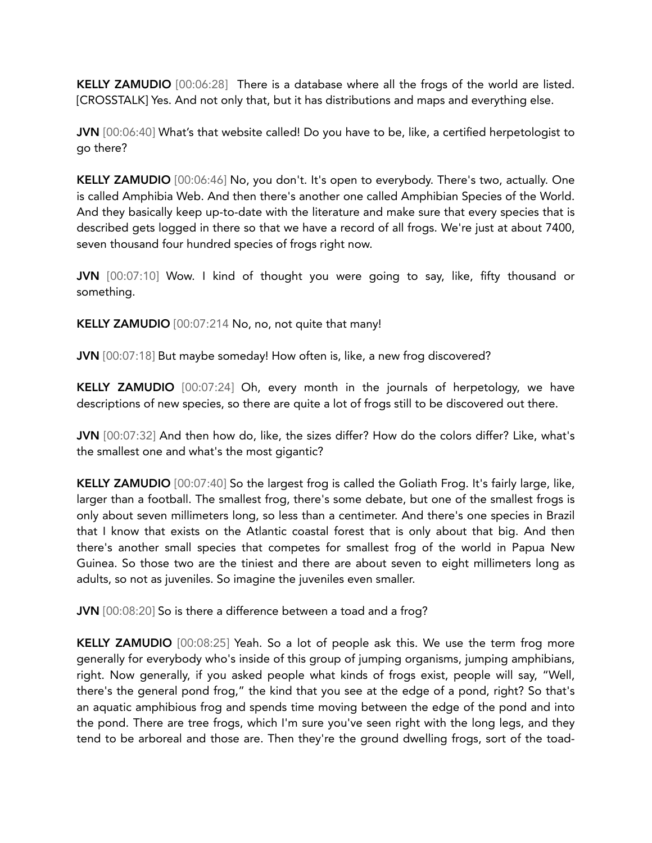KELLY ZAMUDIO [00:06:28] There is a database where all the frogs of the world are listed. [CROSSTALK] Yes. And not only that, but it has distributions and maps and everything else.

JVN [00:06:40] What's that website called! Do you have to be, like, a certified herpetologist to go there?

KELLY ZAMUDIO [00:06:46] No, you don't. It's open to everybody. There's two, actually. One is called Amphibia Web. And then there's another one called Amphibian Species of the World. And they basically keep up-to-date with the literature and make sure that every species that is described gets logged in there so that we have a record of all frogs. We're just at about 7400, seven thousand four hundred species of frogs right now.

JVN [00:07:10] Wow. I kind of thought you were going to say, like, fifty thousand or something.

KELLY ZAMUDIO [00:07:214 No, no, not quite that many!

JVN [00:07:18] But maybe someday! How often is, like, a new frog discovered?

KELLY ZAMUDIO [00:07:24] Oh, every month in the journals of herpetology, we have descriptions of new species, so there are quite a lot of frogs still to be discovered out there.

JVN [00:07:32] And then how do, like, the sizes differ? How do the colors differ? Like, what's the smallest one and what's the most gigantic?

KELLY ZAMUDIO [00:07:40] So the largest frog is called the Goliath Frog. It's fairly large, like, larger than a football. The smallest frog, there's some debate, but one of the smallest frogs is only about seven millimeters long, so less than a centimeter. And there's one species in Brazil that I know that exists on the Atlantic coastal forest that is only about that big. And then there's another small species that competes for smallest frog of the world in Papua New Guinea. So those two are the tiniest and there are about seven to eight millimeters long as adults, so not as juveniles. So imagine the juveniles even smaller.

JVN [00:08:20] So is there a difference between a toad and a frog?

KELLY ZAMUDIO [00:08:25] Yeah. So a lot of people ask this. We use the term frog more generally for everybody who's inside of this group of jumping organisms, jumping amphibians, right. Now generally, if you asked people what kinds of frogs exist, people will say, "Well, there's the general pond frog," the kind that you see at the edge of a pond, right? So that's an aquatic amphibious frog and spends time moving between the edge of the pond and into the pond. There are tree frogs, which I'm sure you've seen right with the long legs, and they tend to be arboreal and those are. Then they're the ground dwelling frogs, sort of the toad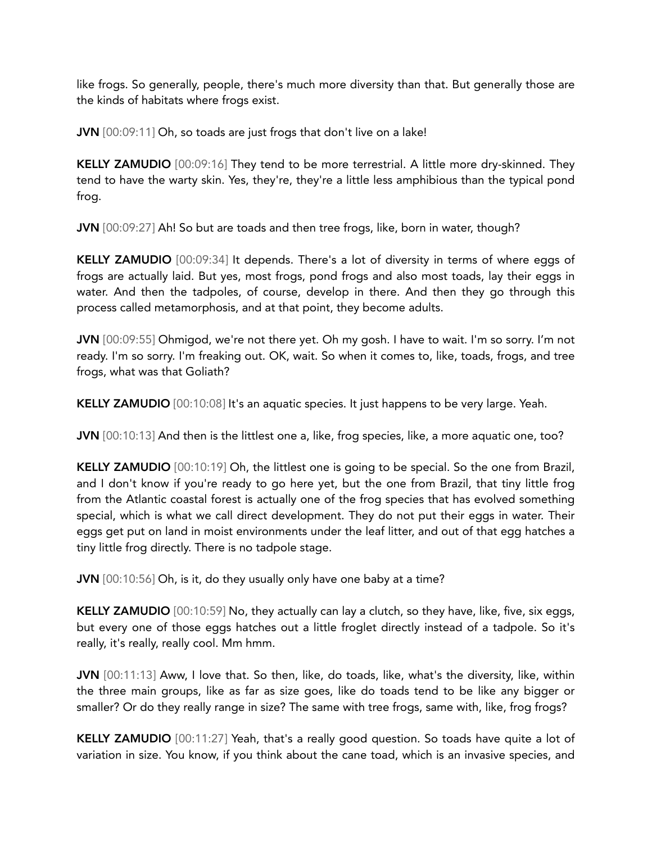like frogs. So generally, people, there's much more diversity than that. But generally those are the kinds of habitats where frogs exist.

JVN [00:09:11] Oh, so toads are just frogs that don't live on a lake!

KELLY ZAMUDIO [00:09:16] They tend to be more terrestrial. A little more dry-skinned. They tend to have the warty skin. Yes, they're, they're a little less amphibious than the typical pond frog.

JVN [00:09:27] Ah! So but are toads and then tree frogs, like, born in water, though?

KELLY ZAMUDIO [00:09:34] It depends. There's a lot of diversity in terms of where eggs of frogs are actually laid. But yes, most frogs, pond frogs and also most toads, lay their eggs in water. And then the tadpoles, of course, develop in there. And then they go through this process called metamorphosis, and at that point, they become adults.

JVN [00:09:55] Ohmigod, we're not there yet. Oh my gosh. I have to wait. I'm so sorry. I'm not ready. I'm so sorry. I'm freaking out. OK, wait. So when it comes to, like, toads, frogs, and tree frogs, what was that Goliath?

KELLY ZAMUDIO [00:10:08] It's an aquatic species. It just happens to be very large. Yeah.

JVN [00:10:13] And then is the littlest one a, like, frog species, like, a more aquatic one, too?

KELLY ZAMUDIO [00:10:19] Oh, the littlest one is going to be special. So the one from Brazil, and I don't know if you're ready to go here yet, but the one from Brazil, that tiny little frog from the Atlantic coastal forest is actually one of the frog species that has evolved something special, which is what we call direct development. They do not put their eggs in water. Their eggs get put on land in moist environments under the leaf litter, and out of that egg hatches a tiny little frog directly. There is no tadpole stage.

JVN [00:10:56] Oh, is it, do they usually only have one baby at a time?

KELLY ZAMUDIO [00:10:59] No, they actually can lay a clutch, so they have, like, five, six eggs, but every one of those eggs hatches out a little froglet directly instead of a tadpole. So it's really, it's really, really cool. Mm hmm.

JVN [00:11:13] Aww, I love that. So then, like, do toads, like, what's the diversity, like, within the three main groups, like as far as size goes, like do toads tend to be like any bigger or smaller? Or do they really range in size? The same with tree frogs, same with, like, frog frogs?

KELLY ZAMUDIO [00:11:27] Yeah, that's a really good question. So toads have quite a lot of variation in size. You know, if you think about the cane toad, which is an invasive species, and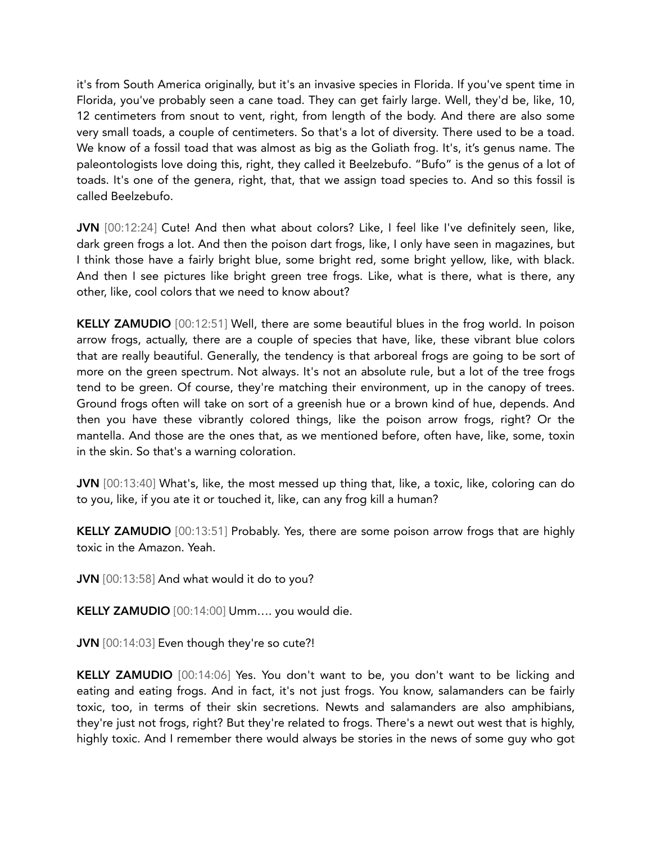it's from South America originally, but it's an invasive species in Florida. If you've spent time in Florida, you've probably seen a cane toad. They can get fairly large. Well, they'd be, like, 10, 12 centimeters from snout to vent, right, from length of the body. And there are also some very small toads, a couple of centimeters. So that's a lot of diversity. There used to be a toad. We know of a fossil toad that was almost as big as the Goliath frog. It's, it's genus name. The paleontologists love doing this, right, they called it Beelzebufo. "Bufo" is the genus of a lot of toads. It's one of the genera, right, that, that we assign toad species to. And so this fossil is called Beelzebufo.

JVN [00:12:24] Cute! And then what about colors? Like, I feel like I've definitely seen, like, dark green frogs a lot. And then the poison dart frogs, like, I only have seen in magazines, but I think those have a fairly bright blue, some bright red, some bright yellow, like, with black. And then I see pictures like bright green tree frogs. Like, what is there, what is there, any other, like, cool colors that we need to know about?

KELLY ZAMUDIO [00:12:51] Well, there are some beautiful blues in the frog world. In poison arrow frogs, actually, there are a couple of species that have, like, these vibrant blue colors that are really beautiful. Generally, the tendency is that arboreal frogs are going to be sort of more on the green spectrum. Not always. It's not an absolute rule, but a lot of the tree frogs tend to be green. Of course, they're matching their environment, up in the canopy of trees. Ground frogs often will take on sort of a greenish hue or a brown kind of hue, depends. And then you have these vibrantly colored things, like the poison arrow frogs, right? Or the mantella. And those are the ones that, as we mentioned before, often have, like, some, toxin in the skin. So that's a warning coloration.

JVN [00:13:40] What's, like, the most messed up thing that, like, a toxic, like, coloring can do to you, like, if you ate it or touched it, like, can any frog kill a human?

KELLY ZAMUDIO [00:13:51] Probably. Yes, there are some poison arrow frogs that are highly toxic in the Amazon. Yeah.

JVN [00:13:58] And what would it do to you?

KELLY ZAMUDIO [00:14:00] Umm…. you would die.

JVN [00:14:03] Even though they're so cute?!

KELLY ZAMUDIO [00:14:06] Yes. You don't want to be, you don't want to be licking and eating and eating frogs. And in fact, it's not just frogs. You know, salamanders can be fairly toxic, too, in terms of their skin secretions. Newts and salamanders are also amphibians, they're just not frogs, right? But they're related to frogs. There's a newt out west that is highly, highly toxic. And I remember there would always be stories in the news of some guy who got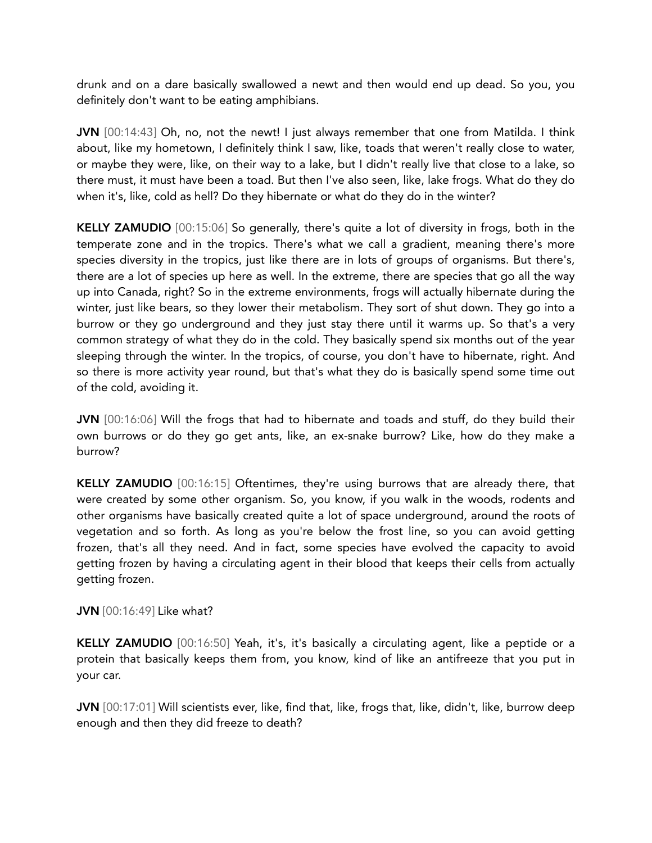drunk and on a dare basically swallowed a newt and then would end up dead. So you, you definitely don't want to be eating amphibians.

JVN [00:14:43] Oh, no, not the newt! I just always remember that one from Matilda. I think about, like my hometown, I definitely think I saw, like, toads that weren't really close to water, or maybe they were, like, on their way to a lake, but I didn't really live that close to a lake, so there must, it must have been a toad. But then I've also seen, like, lake frogs. What do they do when it's, like, cold as hell? Do they hibernate or what do they do in the winter?

KELLY ZAMUDIO [00:15:06] So generally, there's quite a lot of diversity in frogs, both in the temperate zone and in the tropics. There's what we call a gradient, meaning there's more species diversity in the tropics, just like there are in lots of groups of organisms. But there's, there are a lot of species up here as well. In the extreme, there are species that go all the way up into Canada, right? So in the extreme environments, frogs will actually hibernate during the winter, just like bears, so they lower their metabolism. They sort of shut down. They go into a burrow or they go underground and they just stay there until it warms up. So that's a very common strategy of what they do in the cold. They basically spend six months out of the year sleeping through the winter. In the tropics, of course, you don't have to hibernate, right. And so there is more activity year round, but that's what they do is basically spend some time out of the cold, avoiding it.

JVN [00:16:06] Will the frogs that had to hibernate and toads and stuff, do they build their own burrows or do they go get ants, like, an ex-snake burrow? Like, how do they make a burrow?

KELLY ZAMUDIO [00:16:15] Oftentimes, they're using burrows that are already there, that were created by some other organism. So, you know, if you walk in the woods, rodents and other organisms have basically created quite a lot of space underground, around the roots of vegetation and so forth. As long as you're below the frost line, so you can avoid getting frozen, that's all they need. And in fact, some species have evolved the capacity to avoid getting frozen by having a circulating agent in their blood that keeps their cells from actually getting frozen.

JVN [00:16:49] Like what?

KELLY ZAMUDIO [00:16:50] Yeah, it's, it's basically a circulating agent, like a peptide or a protein that basically keeps them from, you know, kind of like an antifreeze that you put in your car.

JVN [00:17:01] Will scientists ever, like, find that, like, frogs that, like, didn't, like, burrow deep enough and then they did freeze to death?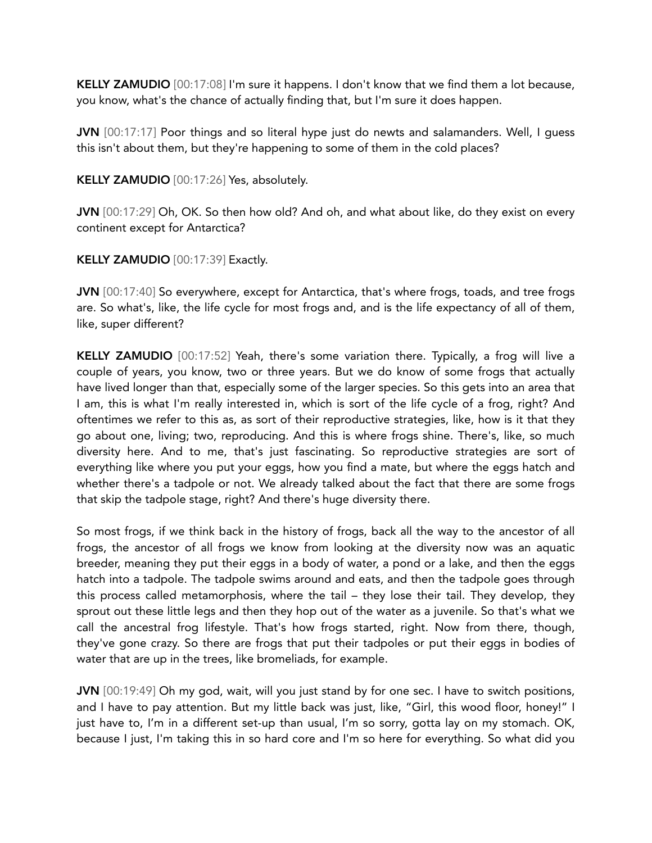KELLY ZAMUDIO [00:17:08] I'm sure it happens. I don't know that we find them a lot because, you know, what's the chance of actually finding that, but I'm sure it does happen.

JVN [00:17:17] Poor things and so literal hype just do newts and salamanders. Well, I guess this isn't about them, but they're happening to some of them in the cold places?

KELLY ZAMUDIO [00:17:26] Yes, absolutely.

JVN [00:17:29] Oh, OK. So then how old? And oh, and what about like, do they exist on every continent except for Antarctica?

KELLY ZAMUDIO [00:17:39] Exactly.

JVN [00:17:40] So everywhere, except for Antarctica, that's where frogs, toads, and tree frogs are. So what's, like, the life cycle for most frogs and, and is the life expectancy of all of them, like, super different?

KELLY ZAMUDIO [00:17:52] Yeah, there's some variation there. Typically, a frog will live a couple of years, you know, two or three years. But we do know of some frogs that actually have lived longer than that, especially some of the larger species. So this gets into an area that I am, this is what I'm really interested in, which is sort of the life cycle of a frog, right? And oftentimes we refer to this as, as sort of their reproductive strategies, like, how is it that they go about one, living; two, reproducing. And this is where frogs shine. There's, like, so much diversity here. And to me, that's just fascinating. So reproductive strategies are sort of everything like where you put your eggs, how you find a mate, but where the eggs hatch and whether there's a tadpole or not. We already talked about the fact that there are some frogs that skip the tadpole stage, right? And there's huge diversity there.

So most frogs, if we think back in the history of frogs, back all the way to the ancestor of all frogs, the ancestor of all frogs we know from looking at the diversity now was an aquatic breeder, meaning they put their eggs in a body of water, a pond or a lake, and then the eggs hatch into a tadpole. The tadpole swims around and eats, and then the tadpole goes through this process called metamorphosis, where the tail – they lose their tail. They develop, they sprout out these little legs and then they hop out of the water as a juvenile. So that's what we call the ancestral frog lifestyle. That's how frogs started, right. Now from there, though, they've gone crazy. So there are frogs that put their tadpoles or put their eggs in bodies of water that are up in the trees, like bromeliads, for example.

JVN [00:19:49] Oh my god, wait, will you just stand by for one sec. I have to switch positions, and I have to pay attention. But my little back was just, like, "Girl, this wood floor, honey!" I just have to, I'm in a different set-up than usual, I'm so sorry, gotta lay on my stomach. OK, because I just, I'm taking this in so hard core and I'm so here for everything. So what did you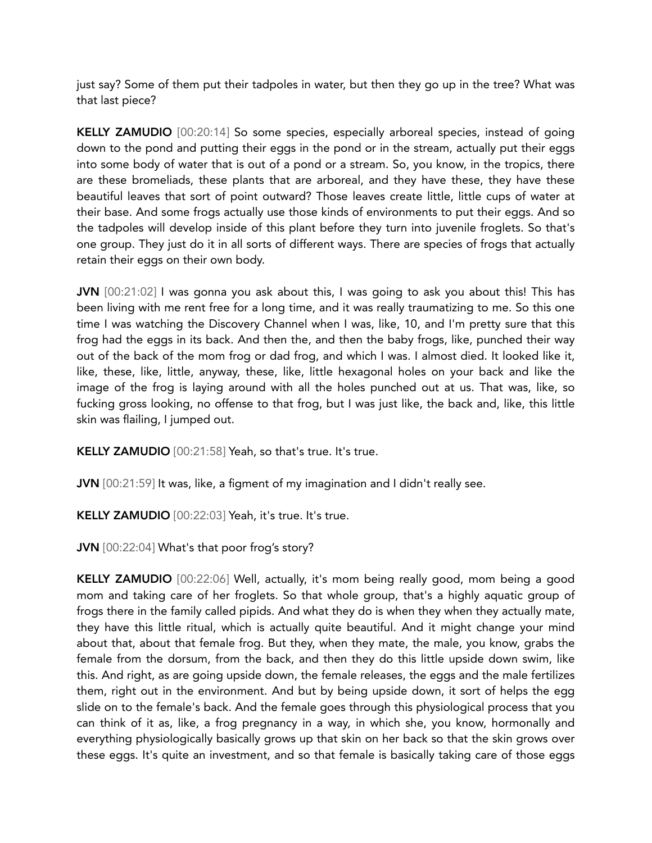just say? Some of them put their tadpoles in water, but then they go up in the tree? What was that last piece?

KELLY ZAMUDIO [00:20:14] So some species, especially arboreal species, instead of going down to the pond and putting their eggs in the pond or in the stream, actually put their eggs into some body of water that is out of a pond or a stream. So, you know, in the tropics, there are these bromeliads, these plants that are arboreal, and they have these, they have these beautiful leaves that sort of point outward? Those leaves create little, little cups of water at their base. And some frogs actually use those kinds of environments to put their eggs. And so the tadpoles will develop inside of this plant before they turn into juvenile froglets. So that's one group. They just do it in all sorts of different ways. There are species of frogs that actually retain their eggs on their own body.

JVN [00:21:02] I was gonna you ask about this, I was going to ask you about this! This has been living with me rent free for a long time, and it was really traumatizing to me. So this one time I was watching the Discovery Channel when I was, like, 10, and I'm pretty sure that this frog had the eggs in its back. And then the, and then the baby frogs, like, punched their way out of the back of the mom frog or dad frog, and which I was. I almost died. It looked like it, like, these, like, little, anyway, these, like, little hexagonal holes on your back and like the image of the frog is laying around with all the holes punched out at us. That was, like, so fucking gross looking, no offense to that frog, but I was just like, the back and, like, this little skin was flailing, I jumped out.

KELLY ZAMUDIO [00:21:58] Yeah, so that's true. It's true.

JVN [00:21:59] It was, like, a figment of my imagination and I didn't really see.

KELLY ZAMUDIO [00:22:03] Yeah, it's true. It's true.

JVN [00:22:04] What's that poor frog's story?

KELLY ZAMUDIO [00:22:06] Well, actually, it's mom being really good, mom being a good mom and taking care of her froglets. So that whole group, that's a highly aquatic group of frogs there in the family called pipids. And what they do is when they when they actually mate, they have this little ritual, which is actually quite beautiful. And it might change your mind about that, about that female frog. But they, when they mate, the male, you know, grabs the female from the dorsum, from the back, and then they do this little upside down swim, like this. And right, as are going upside down, the female releases, the eggs and the male fertilizes them, right out in the environment. And but by being upside down, it sort of helps the egg slide on to the female's back. And the female goes through this physiological process that you can think of it as, like, a frog pregnancy in a way, in which she, you know, hormonally and everything physiologically basically grows up that skin on her back so that the skin grows over these eggs. It's quite an investment, and so that female is basically taking care of those eggs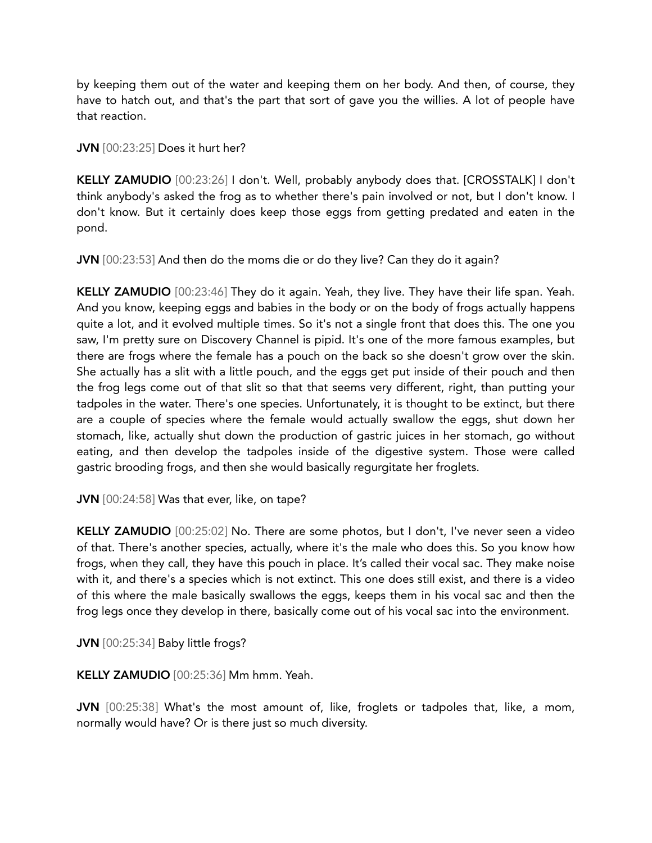by keeping them out of the water and keeping them on her body. And then, of course, they have to hatch out, and that's the part that sort of gave you the willies. A lot of people have that reaction.

JVN [00:23:25] Does it hurt her?

KELLY ZAMUDIO [00:23:26] I don't. Well, probably anybody does that. [CROSSTALK] I don't think anybody's asked the frog as to whether there's pain involved or not, but I don't know. I don't know. But it certainly does keep those eggs from getting predated and eaten in the pond.

JVN [00:23:53] And then do the moms die or do they live? Can they do it again?

KELLY ZAMUDIO [00:23:46] They do it again. Yeah, they live. They have their life span. Yeah. And you know, keeping eggs and babies in the body or on the body of frogs actually happens quite a lot, and it evolved multiple times. So it's not a single front that does this. The one you saw, I'm pretty sure on Discovery Channel is pipid. It's one of the more famous examples, but there are frogs where the female has a pouch on the back so she doesn't grow over the skin. She actually has a slit with a little pouch, and the eggs get put inside of their pouch and then the frog legs come out of that slit so that that seems very different, right, than putting your tadpoles in the water. There's one species. Unfortunately, it is thought to be extinct, but there are a couple of species where the female would actually swallow the eggs, shut down her stomach, like, actually shut down the production of gastric juices in her stomach, go without eating, and then develop the tadpoles inside of the digestive system. Those were called gastric brooding frogs, and then she would basically regurgitate her froglets.

JVN [00:24:58] Was that ever, like, on tape?

KELLY ZAMUDIO [00:25:02] No. There are some photos, but I don't, I've never seen a video of that. There's another species, actually, where it's the male who does this. So you know how frogs, when they call, they have this pouch in place. It's called their vocal sac. They make noise with it, and there's a species which is not extinct. This one does still exist, and there is a video of this where the male basically swallows the eggs, keeps them in his vocal sac and then the frog legs once they develop in there, basically come out of his vocal sac into the environment.

JVN [00:25:34] Baby little frogs?

KELLY ZAMUDIO [00:25:36] Mm hmm. Yeah.

JVN [00:25:38] What's the most amount of, like, froglets or tadpoles that, like, a mom, normally would have? Or is there just so much diversity.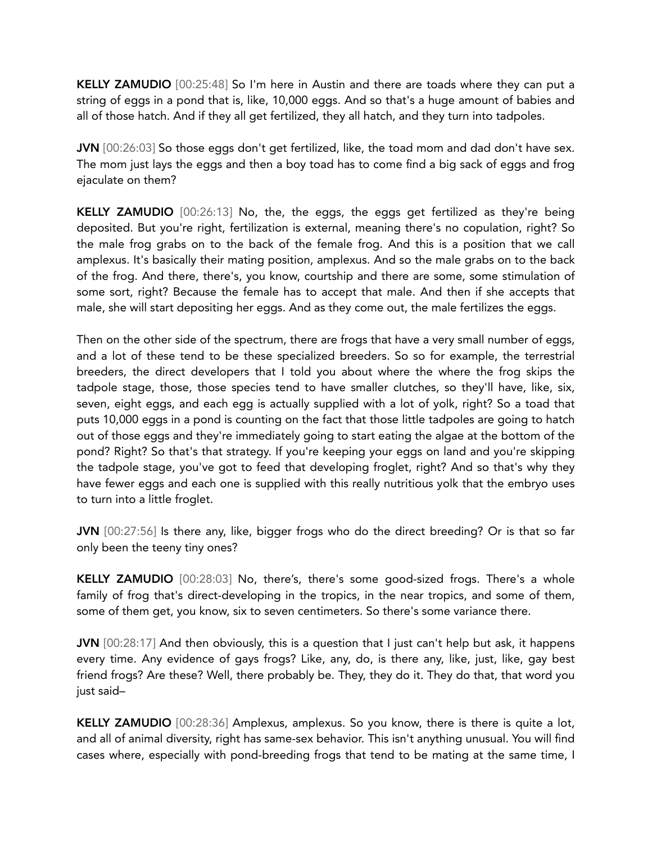KELLY ZAMUDIO [00:25:48] So I'm here in Austin and there are toads where they can put a string of eggs in a pond that is, like, 10,000 eggs. And so that's a huge amount of babies and all of those hatch. And if they all get fertilized, they all hatch, and they turn into tadpoles.

JVN [00:26:03] So those eggs don't get fertilized, like, the toad mom and dad don't have sex. The mom just lays the eggs and then a boy toad has to come find a big sack of eggs and frog ejaculate on them?

KELLY ZAMUDIO [00:26:13] No, the, the eggs, the eggs get fertilized as they're being deposited. But you're right, fertilization is external, meaning there's no copulation, right? So the male frog grabs on to the back of the female frog. And this is a position that we call amplexus. It's basically their mating position, amplexus. And so the male grabs on to the back of the frog. And there, there's, you know, courtship and there are some, some stimulation of some sort, right? Because the female has to accept that male. And then if she accepts that male, she will start depositing her eggs. And as they come out, the male fertilizes the eggs.

Then on the other side of the spectrum, there are frogs that have a very small number of eggs, and a lot of these tend to be these specialized breeders. So so for example, the terrestrial breeders, the direct developers that I told you about where the where the frog skips the tadpole stage, those, those species tend to have smaller clutches, so they'll have, like, six, seven, eight eggs, and each egg is actually supplied with a lot of yolk, right? So a toad that puts 10,000 eggs in a pond is counting on the fact that those little tadpoles are going to hatch out of those eggs and they're immediately going to start eating the algae at the bottom of the pond? Right? So that's that strategy. If you're keeping your eggs on land and you're skipping the tadpole stage, you've got to feed that developing froglet, right? And so that's why they have fewer eggs and each one is supplied with this really nutritious yolk that the embryo uses to turn into a little froglet.

JVN [00:27:56] Is there any, like, bigger frogs who do the direct breeding? Or is that so far only been the teeny tiny ones?

KELLY ZAMUDIO [00:28:03] No, there's, there's some good-sized frogs. There's a whole family of frog that's direct-developing in the tropics, in the near tropics, and some of them, some of them get, you know, six to seven centimeters. So there's some variance there.

JVN [00:28:17] And then obviously, this is a question that I just can't help but ask, it happens every time. Any evidence of gays frogs? Like, any, do, is there any, like, just, like, gay best friend frogs? Are these? Well, there probably be. They, they do it. They do that, that word you just said–

KELLY ZAMUDIO [00:28:36] Amplexus, amplexus. So you know, there is there is quite a lot, and all of animal diversity, right has same-sex behavior. This isn't anything unusual. You will find cases where, especially with pond-breeding frogs that tend to be mating at the same time, I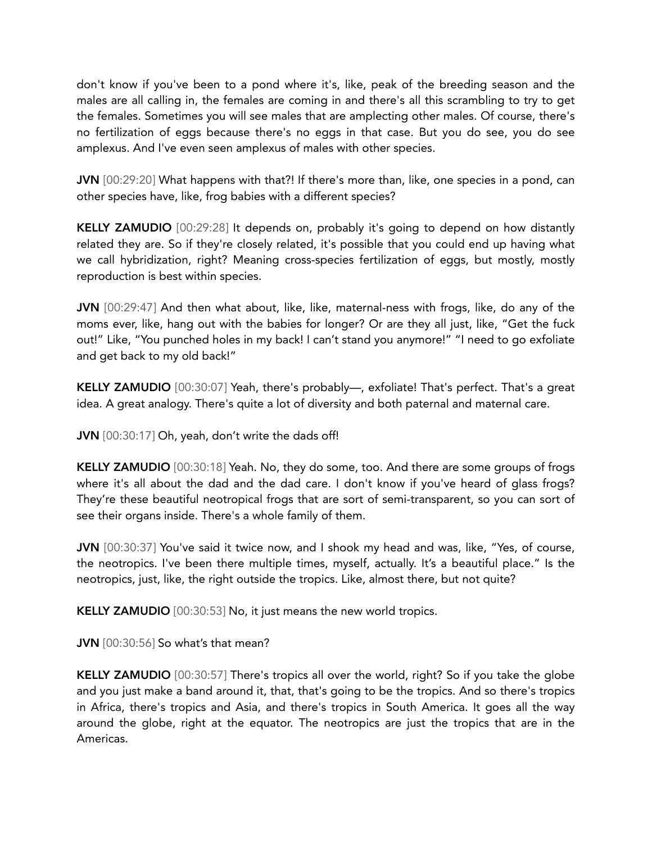don't know if you've been to a pond where it's, like, peak of the breeding season and the males are all calling in, the females are coming in and there's all this scrambling to try to get the females. Sometimes you will see males that are amplecting other males. Of course, there's no fertilization of eggs because there's no eggs in that case. But you do see, you do see amplexus. And I've even seen amplexus of males with other species.

JVN [00:29:20] What happens with that?! If there's more than, like, one species in a pond, can other species have, like, frog babies with a different species?

KELLY ZAMUDIO [00:29:28] It depends on, probably it's going to depend on how distantly related they are. So if they're closely related, it's possible that you could end up having what we call hybridization, right? Meaning cross-species fertilization of eggs, but mostly, mostly reproduction is best within species.

JVN [00:29:47] And then what about, like, like, maternal-ness with frogs, like, do any of the moms ever, like, hang out with the babies for longer? Or are they all just, like, "Get the fuck out!" Like, "You punched holes in my back! I can't stand you anymore!" "I need to go exfoliate and get back to my old back!"

KELLY ZAMUDIO [00:30:07] Yeah, there's probably—, exfoliate! That's perfect. That's a great idea. A great analogy. There's quite a lot of diversity and both paternal and maternal care.

JVN [00:30:17] Oh, yeah, don't write the dads off!

KELLY ZAMUDIO [00:30:18] Yeah. No, they do some, too. And there are some groups of frogs where it's all about the dad and the dad care. I don't know if you've heard of glass frogs? They're these beautiful neotropical frogs that are sort of semi-transparent, so you can sort of see their organs inside. There's a whole family of them.

JVN [00:30:37] You've said it twice now, and I shook my head and was, like, "Yes, of course, the neotropics. I've been there multiple times, myself, actually. It's a beautiful place." Is the neotropics, just, like, the right outside the tropics. Like, almost there, but not quite?

KELLY ZAMUDIO [00:30:53] No, it just means the new world tropics.

JVN [00:30:56] So what's that mean?

KELLY ZAMUDIO [00:30:57] There's tropics all over the world, right? So if you take the globe and you just make a band around it, that, that's going to be the tropics. And so there's tropics in Africa, there's tropics and Asia, and there's tropics in South America. It goes all the way around the globe, right at the equator. The neotropics are just the tropics that are in the Americas.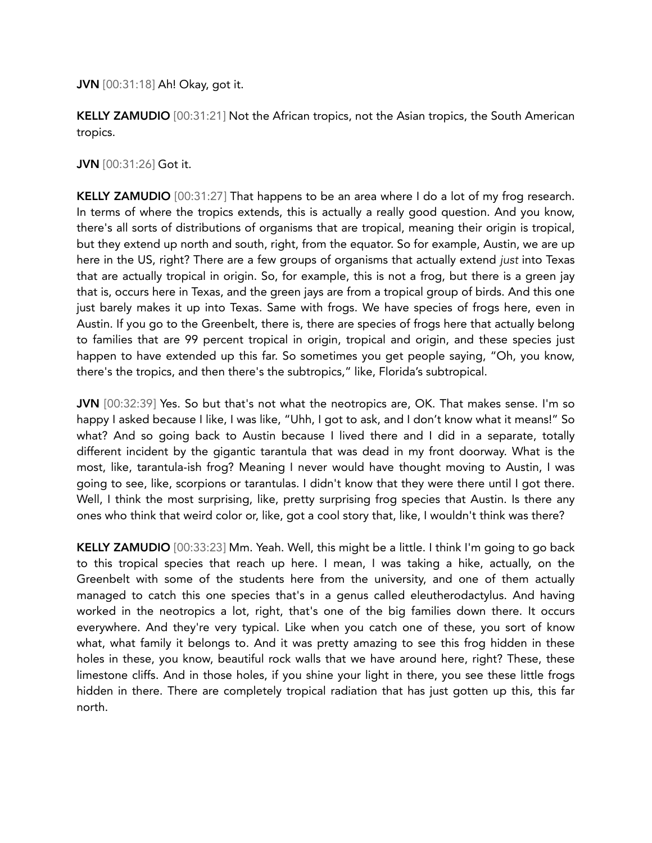JVN [00:31:18] Ah! Okay, got it.

KELLY ZAMUDIO [00:31:21] Not the African tropics, not the Asian tropics, the South American tropics.

JVN [00:31:26] Got it.

KELLY ZAMUDIO [00:31:27] That happens to be an area where I do a lot of my frog research. In terms of where the tropics extends, this is actually a really good question. And you know, there's all sorts of distributions of organisms that are tropical, meaning their origin is tropical, but they extend up north and south, right, from the equator. So for example, Austin, we are up here in the US, right? There are a few groups of organisms that actually extend *just* into Texas that are actually tropical in origin. So, for example, this is not a frog, but there is a green jay that is, occurs here in Texas, and the green jays are from a tropical group of birds. And this one just barely makes it up into Texas. Same with frogs. We have species of frogs here, even in Austin. If you go to the Greenbelt, there is, there are species of frogs here that actually belong to families that are 99 percent tropical in origin, tropical and origin, and these species just happen to have extended up this far. So sometimes you get people saying, "Oh, you know, there's the tropics, and then there's the subtropics," like, Florida's subtropical.

JVN [00:32:39] Yes. So but that's not what the neotropics are, OK. That makes sense. I'm so happy I asked because I like, I was like, "Uhh, I got to ask, and I don't know what it means!" So what? And so going back to Austin because I lived there and I did in a separate, totally different incident by the gigantic tarantula that was dead in my front doorway. What is the most, like, tarantula-ish frog? Meaning I never would have thought moving to Austin, I was going to see, like, scorpions or tarantulas. I didn't know that they were there until I got there. Well, I think the most surprising, like, pretty surprising frog species that Austin. Is there any ones who think that weird color or, like, got a cool story that, like, I wouldn't think was there?

KELLY ZAMUDIO [00:33:23] Mm. Yeah. Well, this might be a little. I think I'm going to go back to this tropical species that reach up here. I mean, I was taking a hike, actually, on the Greenbelt with some of the students here from the university, and one of them actually managed to catch this one species that's in a genus called eleutherodactylus. And having worked in the neotropics a lot, right, that's one of the big families down there. It occurs everywhere. And they're very typical. Like when you catch one of these, you sort of know what, what family it belongs to. And it was pretty amazing to see this frog hidden in these holes in these, you know, beautiful rock walls that we have around here, right? These, these limestone cliffs. And in those holes, if you shine your light in there, you see these little frogs hidden in there. There are completely tropical radiation that has just gotten up this, this far north.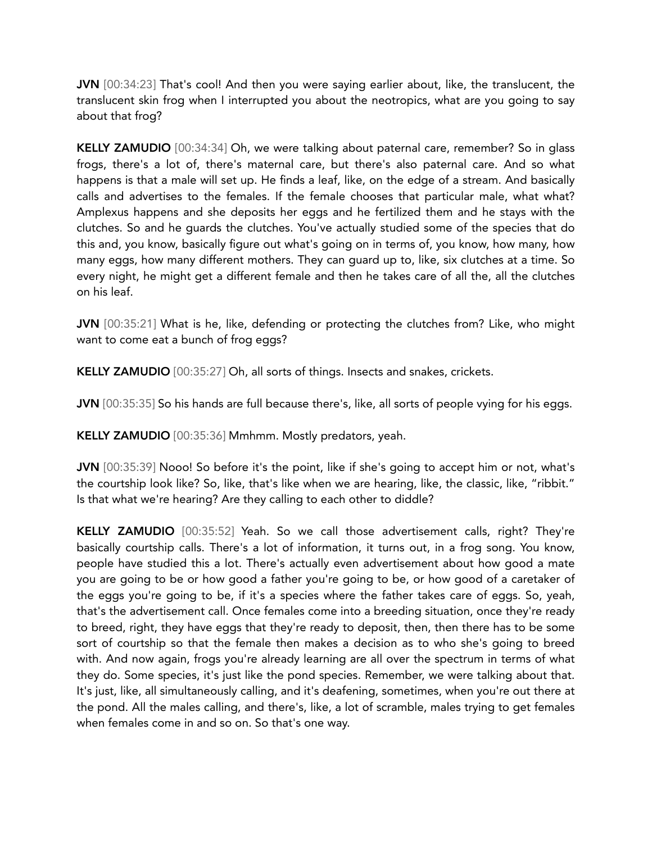JVN [00:34:23] That's cool! And then you were saying earlier about, like, the translucent, the translucent skin frog when I interrupted you about the neotropics, what are you going to say about that frog?

KELLY ZAMUDIO [00:34:34] Oh, we were talking about paternal care, remember? So in glass frogs, there's a lot of, there's maternal care, but there's also paternal care. And so what happens is that a male will set up. He finds a leaf, like, on the edge of a stream. And basically calls and advertises to the females. If the female chooses that particular male, what what? Amplexus happens and she deposits her eggs and he fertilized them and he stays with the clutches. So and he guards the clutches. You've actually studied some of the species that do this and, you know, basically figure out what's going on in terms of, you know, how many, how many eggs, how many different mothers. They can guard up to, like, six clutches at a time. So every night, he might get a different female and then he takes care of all the, all the clutches on his leaf.

JVN [00:35:21] What is he, like, defending or protecting the clutches from? Like, who might want to come eat a bunch of frog eggs?

KELLY ZAMUDIO [00:35:27] Oh, all sorts of things. Insects and snakes, crickets.

JVN [00:35:35] So his hands are full because there's, like, all sorts of people vying for his eggs.

KELLY ZAMUDIO [00:35:36] Mmhmm. Mostly predators, yeah.

JVN [00:35:39] Nooo! So before it's the point, like if she's going to accept him or not, what's the courtship look like? So, like, that's like when we are hearing, like, the classic, like, "ribbit." Is that what we're hearing? Are they calling to each other to diddle?

KELLY ZAMUDIO [00:35:52] Yeah. So we call those advertisement calls, right? They're basically courtship calls. There's a lot of information, it turns out, in a frog song. You know, people have studied this a lot. There's actually even advertisement about how good a mate you are going to be or how good a father you're going to be, or how good of a caretaker of the eggs you're going to be, if it's a species where the father takes care of eggs. So, yeah, that's the advertisement call. Once females come into a breeding situation, once they're ready to breed, right, they have eggs that they're ready to deposit, then, then there has to be some sort of courtship so that the female then makes a decision as to who she's going to breed with. And now again, frogs you're already learning are all over the spectrum in terms of what they do. Some species, it's just like the pond species. Remember, we were talking about that. It's just, like, all simultaneously calling, and it's deafening, sometimes, when you're out there at the pond. All the males calling, and there's, like, a lot of scramble, males trying to get females when females come in and so on. So that's one way.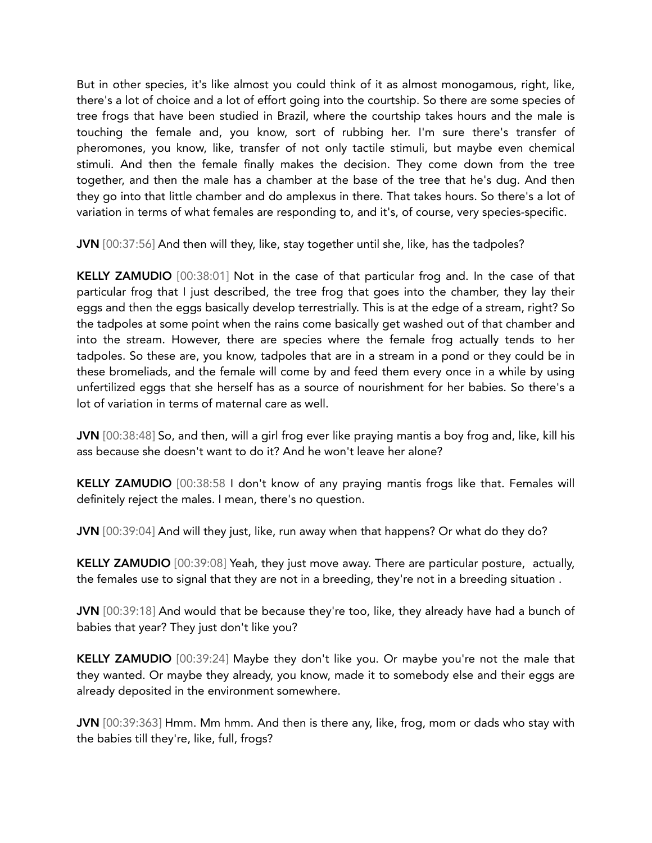But in other species, it's like almost you could think of it as almost monogamous, right, like, there's a lot of choice and a lot of effort going into the courtship. So there are some species of tree frogs that have been studied in Brazil, where the courtship takes hours and the male is touching the female and, you know, sort of rubbing her. I'm sure there's transfer of pheromones, you know, like, transfer of not only tactile stimuli, but maybe even chemical stimuli. And then the female finally makes the decision. They come down from the tree together, and then the male has a chamber at the base of the tree that he's dug. And then they go into that little chamber and do amplexus in there. That takes hours. So there's a lot of variation in terms of what females are responding to, and it's, of course, very species-specific.

JVN [00:37:56] And then will they, like, stay together until she, like, has the tadpoles?

KELLY ZAMUDIO [00:38:01] Not in the case of that particular frog and. In the case of that particular frog that I just described, the tree frog that goes into the chamber, they lay their eggs and then the eggs basically develop terrestrially. This is at the edge of a stream, right? So the tadpoles at some point when the rains come basically get washed out of that chamber and into the stream. However, there are species where the female frog actually tends to her tadpoles. So these are, you know, tadpoles that are in a stream in a pond or they could be in these bromeliads, and the female will come by and feed them every once in a while by using unfertilized eggs that she herself has as a source of nourishment for her babies. So there's a lot of variation in terms of maternal care as well.

JVN [00:38:48] So, and then, will a girl frog ever like praying mantis a boy frog and, like, kill his ass because she doesn't want to do it? And he won't leave her alone?

KELLY ZAMUDIO [00:38:58 I don't know of any praying mantis frogs like that. Females will definitely reject the males. I mean, there's no question.

JVN [00:39:04] And will they just, like, run away when that happens? Or what do they do?

KELLY ZAMUDIO [00:39:08] Yeah, they just move away. There are particular posture, actually, the females use to signal that they are not in a breeding, they're not in a breeding situation .

JVN [00:39:18] And would that be because they're too, like, they already have had a bunch of babies that year? They just don't like you?

KELLY ZAMUDIO [00:39:24] Maybe they don't like you. Or maybe you're not the male that they wanted. Or maybe they already, you know, made it to somebody else and their eggs are already deposited in the environment somewhere.

JVN [00:39:363] Hmm. Mm hmm. And then is there any, like, frog, mom or dads who stay with the babies till they're, like, full, frogs?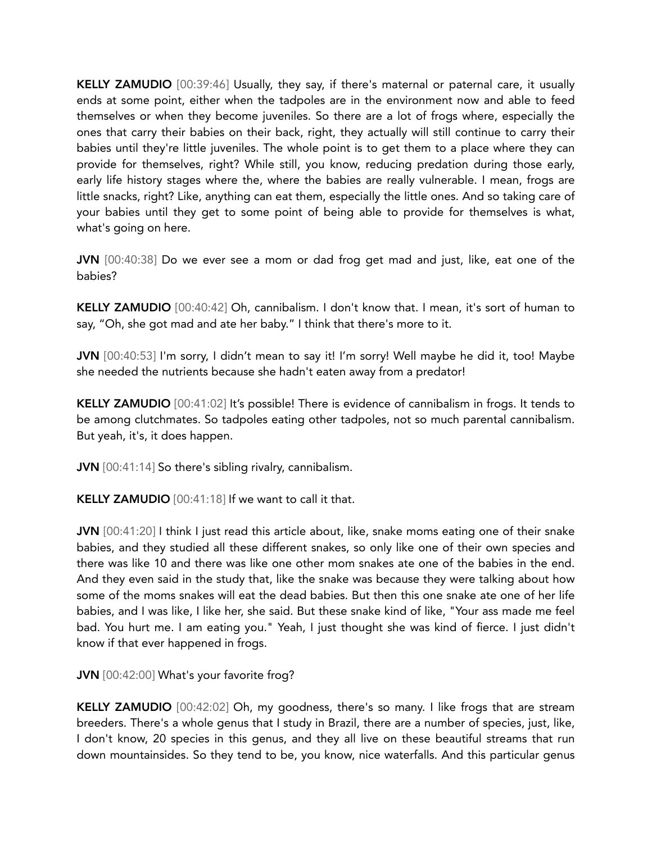KELLY ZAMUDIO [00:39:46] Usually, they say, if there's maternal or paternal care, it usually ends at some point, either when the tadpoles are in the environment now and able to feed themselves or when they become juveniles. So there are a lot of frogs where, especially the ones that carry their babies on their back, right, they actually will still continue to carry their babies until they're little juveniles. The whole point is to get them to a place where they can provide for themselves, right? While still, you know, reducing predation during those early, early life history stages where the, where the babies are really vulnerable. I mean, frogs are little snacks, right? Like, anything can eat them, especially the little ones. And so taking care of your babies until they get to some point of being able to provide for themselves is what, what's going on here.

JVN [00:40:38] Do we ever see a mom or dad frog get mad and just, like, eat one of the babies?

KELLY ZAMUDIO [00:40:42] Oh, cannibalism. I don't know that. I mean, it's sort of human to say, "Oh, she got mad and ate her baby." I think that there's more to it.

JVN [00:40:53] I'm sorry, I didn't mean to say it! I'm sorry! Well maybe he did it, too! Maybe she needed the nutrients because she hadn't eaten away from a predator!

KELLY ZAMUDIO [00:41:02] It's possible! There is evidence of cannibalism in frogs. It tends to be among clutchmates. So tadpoles eating other tadpoles, not so much parental cannibalism. But yeah, it's, it does happen.

JVN [00:41:14] So there's sibling rivalry, cannibalism.

KELLY ZAMUDIO [00:41:18] If we want to call it that.

JVN [00:41:20] I think I just read this article about, like, snake moms eating one of their snake babies, and they studied all these different snakes, so only like one of their own species and there was like 10 and there was like one other mom snakes ate one of the babies in the end. And they even said in the study that, like the snake was because they were talking about how some of the moms snakes will eat the dead babies. But then this one snake ate one of her life babies, and I was like, I like her, she said. But these snake kind of like, "Your ass made me feel bad. You hurt me. I am eating you." Yeah, I just thought she was kind of fierce. I just didn't know if that ever happened in frogs.

JVN [00:42:00] What's your favorite frog?

KELLY ZAMUDIO [00:42:02] Oh, my goodness, there's so many. I like frogs that are stream breeders. There's a whole genus that I study in Brazil, there are a number of species, just, like, I don't know, 20 species in this genus, and they all live on these beautiful streams that run down mountainsides. So they tend to be, you know, nice waterfalls. And this particular genus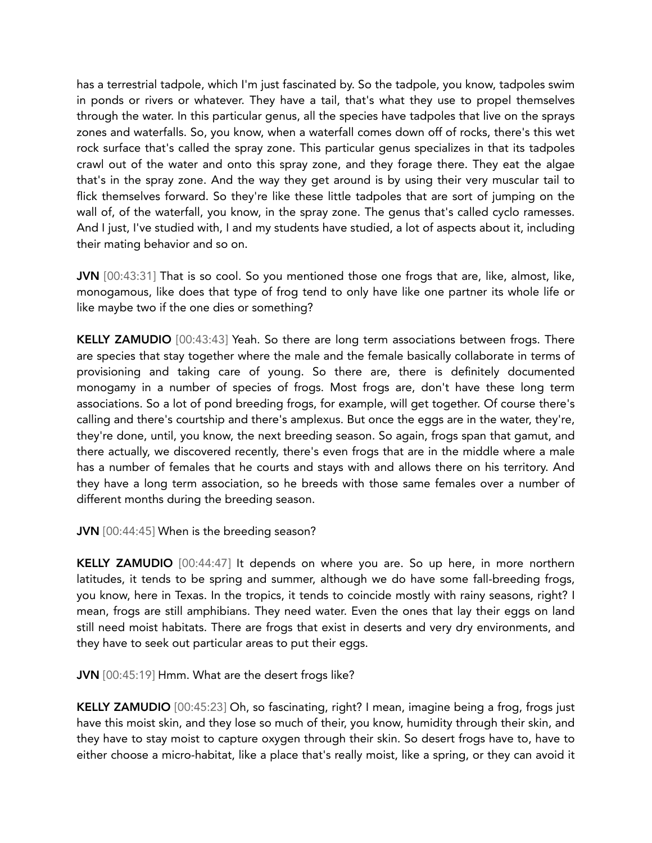has a terrestrial tadpole, which I'm just fascinated by. So the tadpole, you know, tadpoles swim in ponds or rivers or whatever. They have a tail, that's what they use to propel themselves through the water. In this particular genus, all the species have tadpoles that live on the sprays zones and waterfalls. So, you know, when a waterfall comes down off of rocks, there's this wet rock surface that's called the spray zone. This particular genus specializes in that its tadpoles crawl out of the water and onto this spray zone, and they forage there. They eat the algae that's in the spray zone. And the way they get around is by using their very muscular tail to flick themselves forward. So they're like these little tadpoles that are sort of jumping on the wall of, of the waterfall, you know, in the spray zone. The genus that's called cyclo ramesses. And I just, I've studied with, I and my students have studied, a lot of aspects about it, including their mating behavior and so on.

JVN [00:43:31] That is so cool. So you mentioned those one frogs that are, like, almost, like, monogamous, like does that type of frog tend to only have like one partner its whole life or like maybe two if the one dies or something?

KELLY ZAMUDIO [00:43:43] Yeah. So there are long term associations between frogs. There are species that stay together where the male and the female basically collaborate in terms of provisioning and taking care of young. So there are, there is definitely documented monogamy in a number of species of frogs. Most frogs are, don't have these long term associations. So a lot of pond breeding frogs, for example, will get together. Of course there's calling and there's courtship and there's amplexus. But once the eggs are in the water, they're, they're done, until, you know, the next breeding season. So again, frogs span that gamut, and there actually, we discovered recently, there's even frogs that are in the middle where a male has a number of females that he courts and stays with and allows there on his territory. And they have a long term association, so he breeds with those same females over a number of different months during the breeding season.

JVN [00:44:45] When is the breeding season?

KELLY ZAMUDIO [00:44:47] It depends on where you are. So up here, in more northern latitudes, it tends to be spring and summer, although we do have some fall-breeding frogs, you know, here in Texas. In the tropics, it tends to coincide mostly with rainy seasons, right? I mean, frogs are still amphibians. They need water. Even the ones that lay their eggs on land still need moist habitats. There are frogs that exist in deserts and very dry environments, and they have to seek out particular areas to put their eggs.

JVN [00:45:19] Hmm. What are the desert frogs like?

KELLY ZAMUDIO [00:45:23] Oh, so fascinating, right? I mean, imagine being a frog, frogs just have this moist skin, and they lose so much of their, you know, humidity through their skin, and they have to stay moist to capture oxygen through their skin. So desert frogs have to, have to either choose a micro-habitat, like a place that's really moist, like a spring, or they can avoid it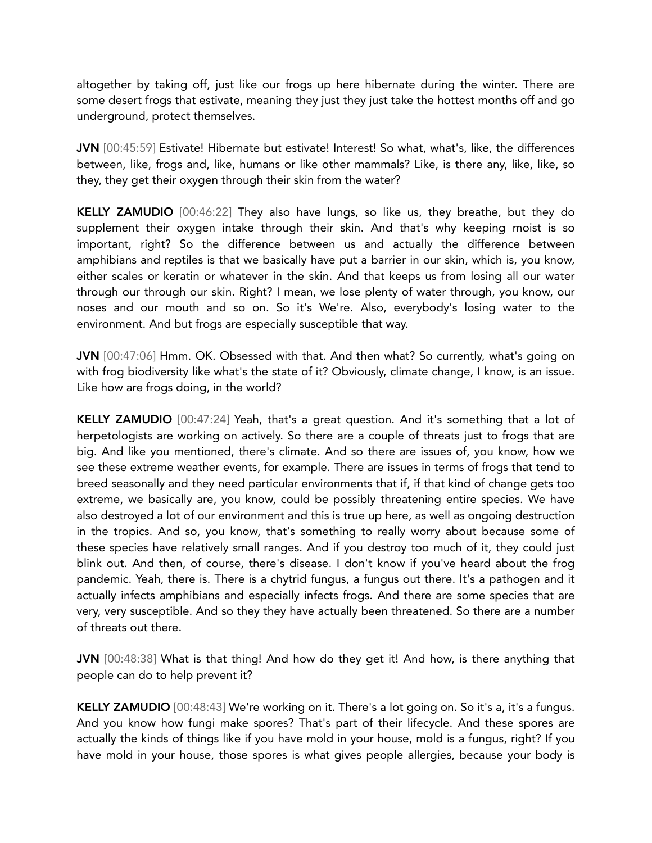altogether by taking off, just like our frogs up here hibernate during the winter. There are some desert frogs that estivate, meaning they just they just take the hottest months off and go underground, protect themselves.

JVN [00:45:59] Estivate! Hibernate but estivate! Interest! So what, what's, like, the differences between, like, frogs and, like, humans or like other mammals? Like, is there any, like, like, so they, they get their oxygen through their skin from the water?

KELLY ZAMUDIO [00:46:22] They also have lungs, so like us, they breathe, but they do supplement their oxygen intake through their skin. And that's why keeping moist is so important, right? So the difference between us and actually the difference between amphibians and reptiles is that we basically have put a barrier in our skin, which is, you know, either scales or keratin or whatever in the skin. And that keeps us from losing all our water through our through our skin. Right? I mean, we lose plenty of water through, you know, our noses and our mouth and so on. So it's We're. Also, everybody's losing water to the environment. And but frogs are especially susceptible that way.

JVN [00:47:06] Hmm. OK. Obsessed with that. And then what? So currently, what's going on with frog biodiversity like what's the state of it? Obviously, climate change, I know, is an issue. Like how are frogs doing, in the world?

KELLY ZAMUDIO [00:47:24] Yeah, that's a great question. And it's something that a lot of herpetologists are working on actively. So there are a couple of threats just to frogs that are big. And like you mentioned, there's climate. And so there are issues of, you know, how we see these extreme weather events, for example. There are issues in terms of frogs that tend to breed seasonally and they need particular environments that if, if that kind of change gets too extreme, we basically are, you know, could be possibly threatening entire species. We have also destroyed a lot of our environment and this is true up here, as well as ongoing destruction in the tropics. And so, you know, that's something to really worry about because some of these species have relatively small ranges. And if you destroy too much of it, they could just blink out. And then, of course, there's disease. I don't know if you've heard about the frog pandemic. Yeah, there is. There is a chytrid fungus, a fungus out there. It's a pathogen and it actually infects amphibians and especially infects frogs. And there are some species that are very, very susceptible. And so they they have actually been threatened. So there are a number of threats out there.

JVN [00:48:38] What is that thing! And how do they get it! And how, is there anything that people can do to help prevent it?

KELLY ZAMUDIO [00:48:43] We're working on it. There's a lot going on. So it's a, it's a fungus. And you know how fungi make spores? That's part of their lifecycle. And these spores are actually the kinds of things like if you have mold in your house, mold is a fungus, right? If you have mold in your house, those spores is what gives people allergies, because your body is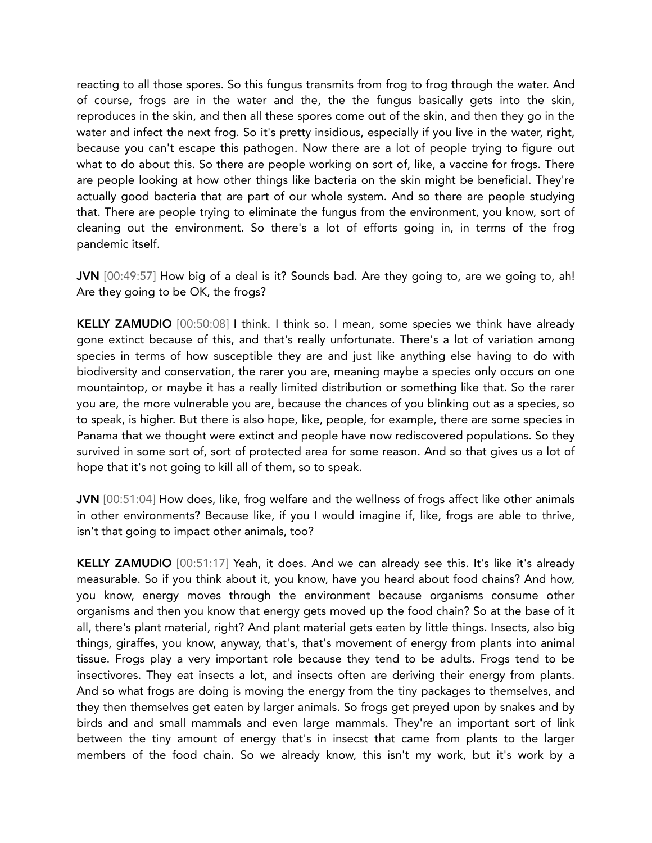reacting to all those spores. So this fungus transmits from frog to frog through the water. And of course, frogs are in the water and the, the the fungus basically gets into the skin, reproduces in the skin, and then all these spores come out of the skin, and then they go in the water and infect the next frog. So it's pretty insidious, especially if you live in the water, right, because you can't escape this pathogen. Now there are a lot of people trying to figure out what to do about this. So there are people working on sort of, like, a vaccine for frogs. There are people looking at how other things like bacteria on the skin might be beneficial. They're actually good bacteria that are part of our whole system. And so there are people studying that. There are people trying to eliminate the fungus from the environment, you know, sort of cleaning out the environment. So there's a lot of efforts going in, in terms of the frog pandemic itself.

JVN [00:49:57] How big of a deal is it? Sounds bad. Are they going to, are we going to, ah! Are they going to be OK, the frogs?

KELLY ZAMUDIO [00:50:08] I think. I think so. I mean, some species we think have already gone extinct because of this, and that's really unfortunate. There's a lot of variation among species in terms of how susceptible they are and just like anything else having to do with biodiversity and conservation, the rarer you are, meaning maybe a species only occurs on one mountaintop, or maybe it has a really limited distribution or something like that. So the rarer you are, the more vulnerable you are, because the chances of you blinking out as a species, so to speak, is higher. But there is also hope, like, people, for example, there are some species in Panama that we thought were extinct and people have now rediscovered populations. So they survived in some sort of, sort of protected area for some reason. And so that gives us a lot of hope that it's not going to kill all of them, so to speak.

JVN [00:51:04] How does, like, frog welfare and the wellness of frogs affect like other animals in other environments? Because like, if you I would imagine if, like, frogs are able to thrive, isn't that going to impact other animals, too?

KELLY ZAMUDIO [00:51:17] Yeah, it does. And we can already see this. It's like it's already measurable. So if you think about it, you know, have you heard about food chains? And how, you know, energy moves through the environment because organisms consume other organisms and then you know that energy gets moved up the food chain? So at the base of it all, there's plant material, right? And plant material gets eaten by little things. Insects, also big things, giraffes, you know, anyway, that's, that's movement of energy from plants into animal tissue. Frogs play a very important role because they tend to be adults. Frogs tend to be insectivores. They eat insects a lot, and insects often are deriving their energy from plants. And so what frogs are doing is moving the energy from the tiny packages to themselves, and they then themselves get eaten by larger animals. So frogs get preyed upon by snakes and by birds and and small mammals and even large mammals. They're an important sort of link between the tiny amount of energy that's in insecst that came from plants to the larger members of the food chain. So we already know, this isn't my work, but it's work by a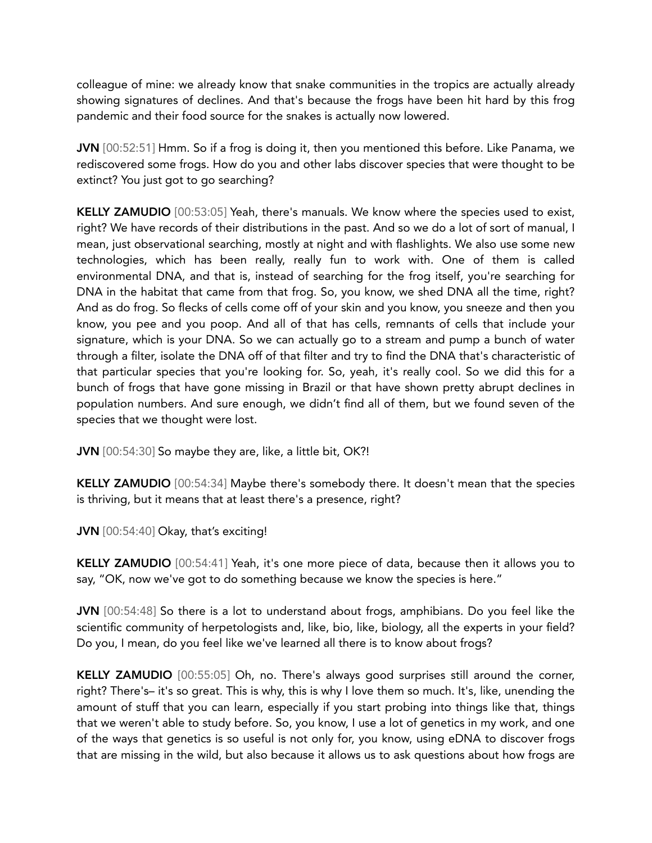colleague of mine: we already know that snake communities in the tropics are actually already showing signatures of declines. And that's because the frogs have been hit hard by this frog pandemic and their food source for the snakes is actually now lowered.

JVN [00:52:51] Hmm. So if a frog is doing it, then you mentioned this before. Like Panama, we rediscovered some frogs. How do you and other labs discover species that were thought to be extinct? You just got to go searching?

KELLY ZAMUDIO [00:53:05] Yeah, there's manuals. We know where the species used to exist, right? We have records of their distributions in the past. And so we do a lot of sort of manual, I mean, just observational searching, mostly at night and with flashlights. We also use some new technologies, which has been really, really fun to work with. One of them is called environmental DNA, and that is, instead of searching for the frog itself, you're searching for DNA in the habitat that came from that frog. So, you know, we shed DNA all the time, right? And as do frog. So flecks of cells come off of your skin and you know, you sneeze and then you know, you pee and you poop. And all of that has cells, remnants of cells that include your signature, which is your DNA. So we can actually go to a stream and pump a bunch of water through a filter, isolate the DNA off of that filter and try to find the DNA that's characteristic of that particular species that you're looking for. So, yeah, it's really cool. So we did this for a bunch of frogs that have gone missing in Brazil or that have shown pretty abrupt declines in population numbers. And sure enough, we didn't find all of them, but we found seven of the species that we thought were lost.

JVN [00:54:30] So maybe they are, like, a little bit, OK?!

KELLY ZAMUDIO [00:54:34] Maybe there's somebody there. It doesn't mean that the species is thriving, but it means that at least there's a presence, right?

JVN [00:54:40] Okay, that's exciting!

KELLY ZAMUDIO [00:54:41] Yeah, it's one more piece of data, because then it allows you to say, "OK, now we've got to do something because we know the species is here."

JVN [00:54:48] So there is a lot to understand about frogs, amphibians. Do you feel like the scientific community of herpetologists and, like, bio, like, biology, all the experts in your field? Do you, I mean, do you feel like we've learned all there is to know about frogs?

KELLY ZAMUDIO [00:55:05] Oh, no. There's always good surprises still around the corner, right? There's– it's so great. This is why, this is why I love them so much. It's, like, unending the amount of stuff that you can learn, especially if you start probing into things like that, things that we weren't able to study before. So, you know, I use a lot of genetics in my work, and one of the ways that genetics is so useful is not only for, you know, using eDNA to discover frogs that are missing in the wild, but also because it allows us to ask questions about how frogs are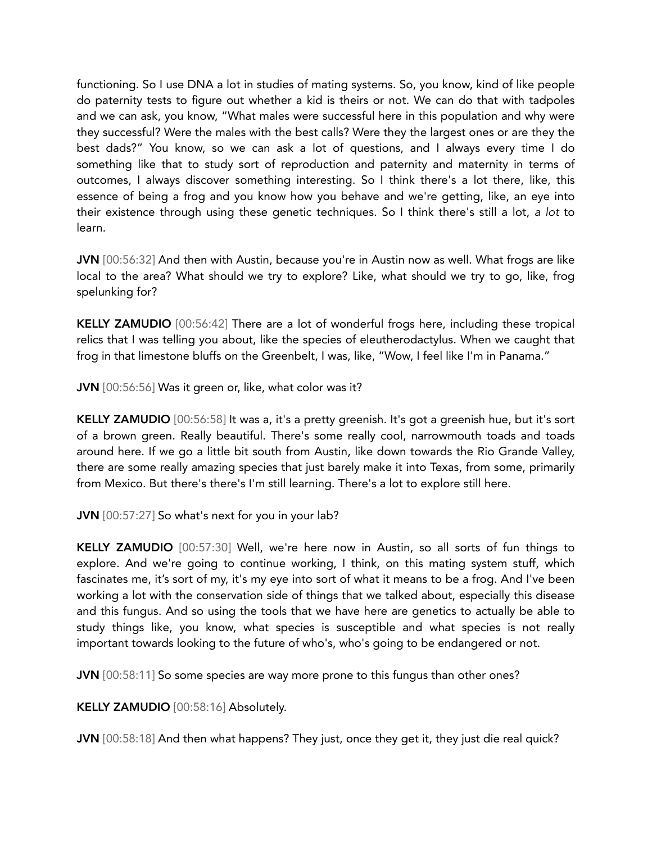functioning. So I use DNA a lot in studies of mating systems. So, you know, kind of like people do paternity tests to figure out whether a kid is theirs or not. We can do that with tadpoles and we can ask, you know, "What males were successful here in this population and why were they successful? Were the males with the best calls? Were they the largest ones or are they the best dads?" You know, so we can ask a lot of questions, and I always every time I do something like that to study sort of reproduction and paternity and maternity in terms of outcomes, I always discover something interesting. So I think there's a lot there, like, this essence of being a frog and you know how you behave and we're getting, like, an eye into their existence through using these genetic techniques. So I think there's still a lot, *a lot* to learn.

JVN [00:56:32] And then with Austin, because you're in Austin now as well. What frogs are like local to the area? What should we try to explore? Like, what should we try to go, like, frog spelunking for?

KELLY ZAMUDIO [00:56:42] There are a lot of wonderful frogs here, including these tropical relics that I was telling you about, like the species of eleutherodactylus. When we caught that frog in that limestone bluffs on the Greenbelt, I was, like, "Wow, I feel like I'm in Panama."

JVN [00:56:56] Was it green or, like, what color was it?

KELLY ZAMUDIO [00:56:58] It was a, it's a pretty greenish. It's got a greenish hue, but it's sort of a brown green. Really beautiful. There's some really cool, narrowmouth toads and toads around here. If we go a little bit south from Austin, like down towards the Rio Grande Valley, there are some really amazing species that just barely make it into Texas, from some, primarily from Mexico. But there's there's I'm still learning. There's a lot to explore still here.

JVN [00:57:27] So what's next for you in your lab?

KELLY ZAMUDIO [00:57:30] Well, we're here now in Austin, so all sorts of fun things to explore. And we're going to continue working, I think, on this mating system stuff, which fascinates me, it's sort of my, it's my eye into sort of what it means to be a frog. And I've been working a lot with the conservation side of things that we talked about, especially this disease and this fungus. And so using the tools that we have here are genetics to actually be able to study things like, you know, what species is susceptible and what species is not really important towards looking to the future of who's, who's going to be endangered or not.

JVN [00:58:11] So some species are way more prone to this fungus than other ones?

KELLY ZAMUDIO [00:58:16] Absolutely.

JVN [00:58:18] And then what happens? They just, once they get it, they just die real quick?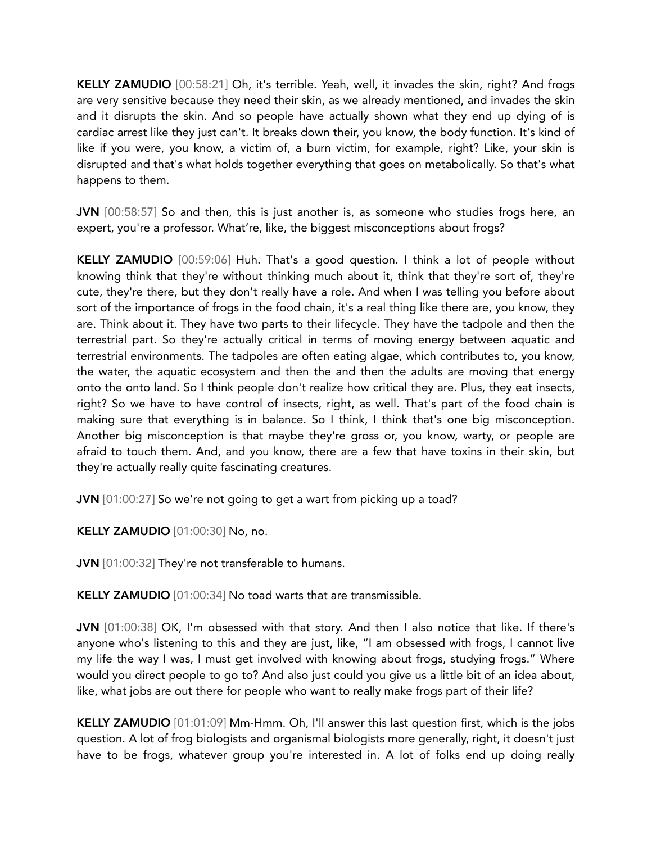KELLY ZAMUDIO [00:58:21] Oh, it's terrible. Yeah, well, it invades the skin, right? And frogs are very sensitive because they need their skin, as we already mentioned, and invades the skin and it disrupts the skin. And so people have actually shown what they end up dying of is cardiac arrest like they just can't. It breaks down their, you know, the body function. It's kind of like if you were, you know, a victim of, a burn victim, for example, right? Like, your skin is disrupted and that's what holds together everything that goes on metabolically. So that's what happens to them.

JVN [00:58:57] So and then, this is just another is, as someone who studies frogs here, an expert, you're a professor. What're, like, the biggest misconceptions about frogs?

KELLY ZAMUDIO [00:59:06] Huh. That's a good question. I think a lot of people without knowing think that they're without thinking much about it, think that they're sort of, they're cute, they're there, but they don't really have a role. And when I was telling you before about sort of the importance of frogs in the food chain, it's a real thing like there are, you know, they are. Think about it. They have two parts to their lifecycle. They have the tadpole and then the terrestrial part. So they're actually critical in terms of moving energy between aquatic and terrestrial environments. The tadpoles are often eating algae, which contributes to, you know, the water, the aquatic ecosystem and then the and then the adults are moving that energy onto the onto land. So I think people don't realize how critical they are. Plus, they eat insects, right? So we have to have control of insects, right, as well. That's part of the food chain is making sure that everything is in balance. So I think, I think that's one big misconception. Another big misconception is that maybe they're gross or, you know, warty, or people are afraid to touch them. And, and you know, there are a few that have toxins in their skin, but they're actually really quite fascinating creatures.

JVN [01:00:27] So we're not going to get a wart from picking up a toad?

KELLY ZAMUDIO [01:00:30] No, no.

**JVN** [01:00:32] They're not transferable to humans.

KELLY ZAMUDIO [01:00:34] No toad warts that are transmissible.

JVN [01:00:38] OK, I'm obsessed with that story. And then I also notice that like. If there's anyone who's listening to this and they are just, like, "I am obsessed with frogs, I cannot live my life the way I was, I must get involved with knowing about frogs, studying frogs." Where would you direct people to go to? And also just could you give us a little bit of an idea about, like, what jobs are out there for people who want to really make frogs part of their life?

KELLY ZAMUDIO [01:01:09] Mm-Hmm. Oh, I'll answer this last question first, which is the jobs question. A lot of frog biologists and organismal biologists more generally, right, it doesn't just have to be frogs, whatever group you're interested in. A lot of folks end up doing really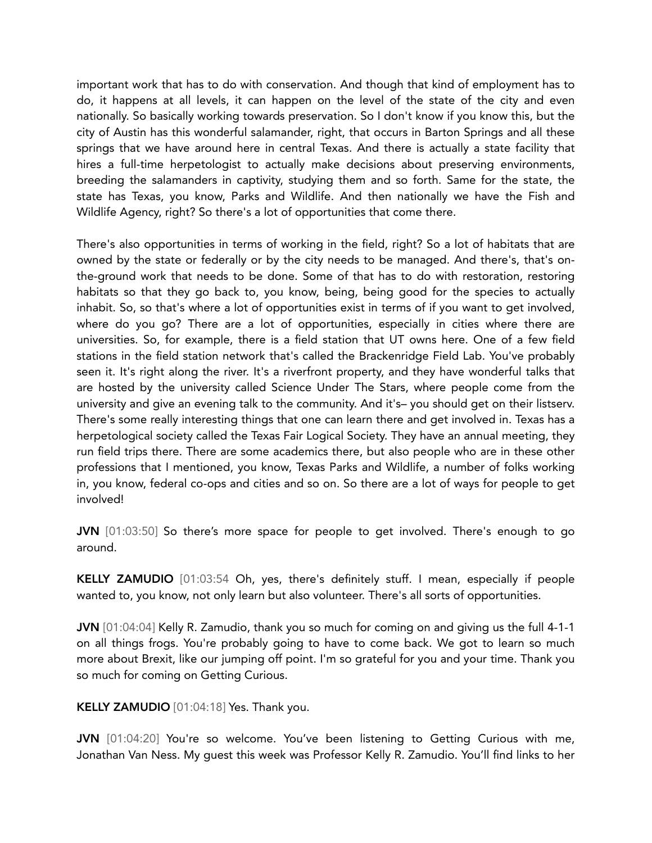important work that has to do with conservation. And though that kind of employment has to do, it happens at all levels, it can happen on the level of the state of the city and even nationally. So basically working towards preservation. So I don't know if you know this, but the city of Austin has this wonderful salamander, right, that occurs in Barton Springs and all these springs that we have around here in central Texas. And there is actually a state facility that hires a full-time herpetologist to actually make decisions about preserving environments, breeding the salamanders in captivity, studying them and so forth. Same for the state, the state has Texas, you know, Parks and Wildlife. And then nationally we have the Fish and Wildlife Agency, right? So there's a lot of opportunities that come there.

There's also opportunities in terms of working in the field, right? So a lot of habitats that are owned by the state or federally or by the city needs to be managed. And there's, that's onthe-ground work that needs to be done. Some of that has to do with restoration, restoring habitats so that they go back to, you know, being, being good for the species to actually inhabit. So, so that's where a lot of opportunities exist in terms of if you want to get involved, where do you go? There are a lot of opportunities, especially in cities where there are universities. So, for example, there is a field station that UT owns here. One of a few field stations in the field station network that's called the Brackenridge Field Lab. You've probably seen it. It's right along the river. It's a riverfront property, and they have wonderful talks that are hosted by the university called Science Under The Stars, where people come from the university and give an evening talk to the community. And it's– you should get on their listserv. There's some really interesting things that one can learn there and get involved in. Texas has a herpetological society called the Texas Fair Logical Society. They have an annual meeting, they run field trips there. There are some academics there, but also people who are in these other professions that I mentioned, you know, Texas Parks and Wildlife, a number of folks working in, you know, federal co-ops and cities and so on. So there are a lot of ways for people to get involved!

JVN [01:03:50] So there's more space for people to get involved. There's enough to go around.

KELLY ZAMUDIO [01:03:54 Oh, yes, there's definitely stuff. I mean, especially if people wanted to, you know, not only learn but also volunteer. There's all sorts of opportunities.

JVN [01:04:04] Kelly R. Zamudio, thank you so much for coming on and giving us the full 4-1-1 on all things frogs. You're probably going to have to come back. We got to learn so much more about Brexit, like our jumping off point. I'm so grateful for you and your time. Thank you so much for coming on Getting Curious.

KELLY ZAMUDIO [01:04:18] Yes. Thank you.

JVN [01:04:20] You're so welcome. You've been listening to Getting Curious with me, Jonathan Van Ness. My guest this week was Professor Kelly R. Zamudio. You'll find links to her